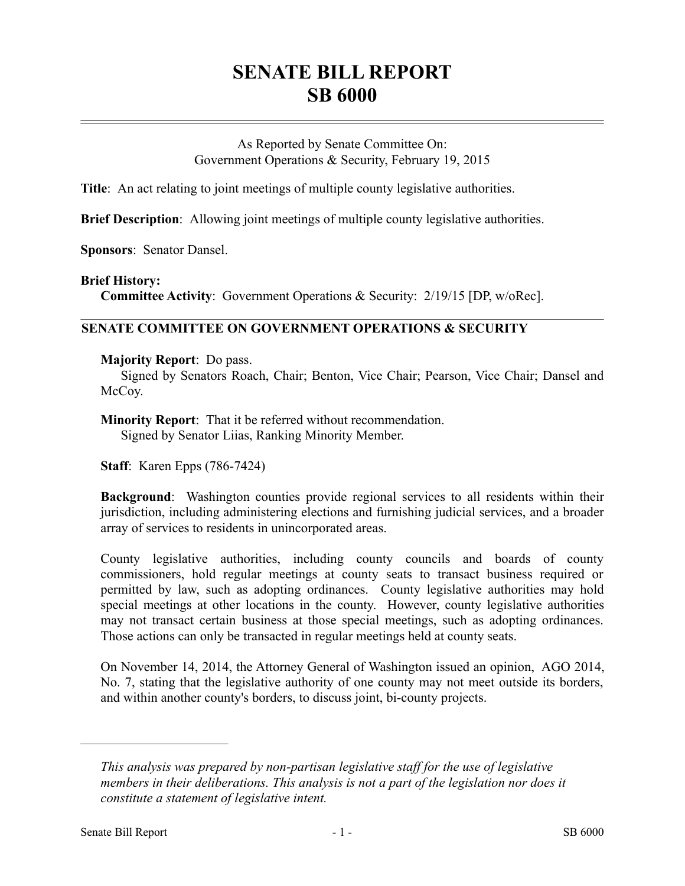# **SENATE BILL REPORT SB 6000**

As Reported by Senate Committee On: Government Operations & Security, February 19, 2015

**Title**: An act relating to joint meetings of multiple county legislative authorities.

**Brief Description**: Allowing joint meetings of multiple county legislative authorities.

**Sponsors**: Senator Dansel.

### **Brief History:**

**Committee Activity**: Government Operations & Security: 2/19/15 [DP, w/oRec].

## **SENATE COMMITTEE ON GOVERNMENT OPERATIONS & SECURITY**

### **Majority Report**: Do pass.

Signed by Senators Roach, Chair; Benton, Vice Chair; Pearson, Vice Chair; Dansel and McCoy.

**Minority Report**: That it be referred without recommendation. Signed by Senator Liias, Ranking Minority Member.

**Staff**: Karen Epps (786-7424)

**Background**: Washington counties provide regional services to all residents within their jurisdiction, including administering elections and furnishing judicial services, and a broader array of services to residents in unincorporated areas.

County legislative authorities, including county councils and boards of county commissioners, hold regular meetings at county seats to transact business required or permitted by law, such as adopting ordinances. County legislative authorities may hold special meetings at other locations in the county. However, county legislative authorities may not transact certain business at those special meetings, such as adopting ordinances. Those actions can only be transacted in regular meetings held at county seats.

On November 14, 2014, the Attorney General of Washington issued an opinion, AGO 2014, No. 7, stating that the legislative authority of one county may not meet outside its borders, and within another county's borders, to discuss joint, bi-county projects.

––––––––––––––––––––––

*This analysis was prepared by non-partisan legislative staff for the use of legislative members in their deliberations. This analysis is not a part of the legislation nor does it constitute a statement of legislative intent.*